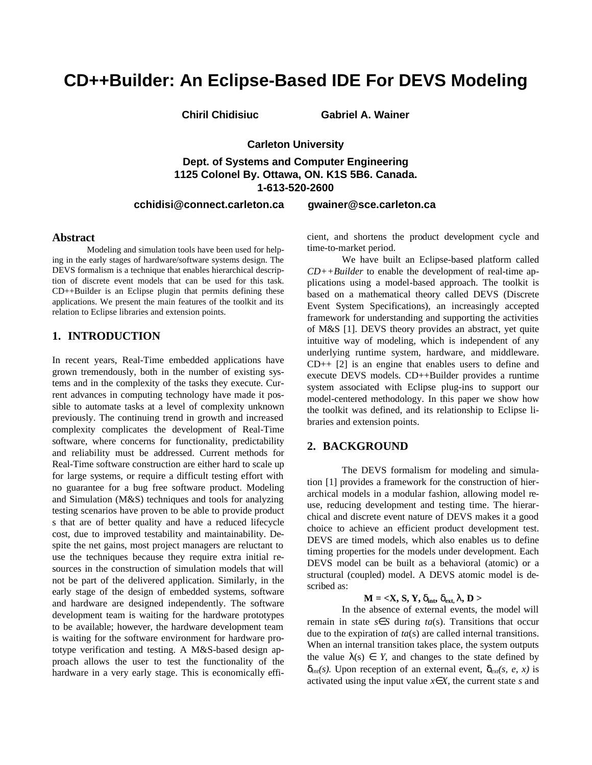# **CD++Builder: An Eclipse-Based IDE For DEVS Modeling**

**Chiril Chidisiuc Gabriel A. Wainer**

**Carleton University** 

**Dept. of Systems and Computer Engineering 1125 Colonel By. Ottawa, ON. K1S 5B6. Canada. 1-613-520-2600**

### **cchidisi@connect.carleton.ca gwainer@sce.carleton.ca**

#### **Abstract**

Modeling and simulation tools have been used for helping in the early stages of hardware/software systems design. The DEVS formalism is a technique that enables hierarchical description of discrete event models that can be used for this task. CD++Builder is an Eclipse plugin that permits defining these applications. We present the main features of the toolkit and its relation to Eclipse libraries and extension points.

# **1. INTRODUCTION**

In recent years, Real-Time embedded applications have grown tremendously, both in the number of existing systems and in the complexity of the tasks they execute. Current advances in computing technology have made it possible to automate tasks at a level of complexity unknown previously. The continuing trend in growth and increased complexity complicates the development of Real-Time software, where concerns for functionality, predictability and reliability must be addressed. Current methods for Real-Time software construction are either hard to scale up for large systems, or require a difficult testing effort with no guarantee for a bug free software product. Modeling and Simulation (M&S) techniques and tools for analyzing testing scenarios have proven to be able to provide product s that are of better quality and have a reduced lifecycle cost, due to improved testability and maintainability. Despite the net gains, most project managers are reluctant to use the techniques because they require extra initial resources in the construction of simulation models that will not be part of the delivered application. Similarly, in the early stage of the design of embedded systems, software and hardware are designed independently. The software development team is waiting for the hardware prototypes to be available; however, the hardware development team is waiting for the software environment for hardware prototype verification and testing. A M&S-based design approach allows the user to test the functionality of the hardware in a very early stage. This is economically efficient, and shortens the product development cycle and time-to-market period.

We have built an Eclipse-based platform called *CD++Builder* to enable the development of real-time applications using a model-based approach. The toolkit is based on a mathematical theory called DEVS (Discrete Event System Specifications), an increasingly accepted framework for understanding and supporting the activities of M&S [1]. DEVS theory provides an abstract, yet quite intuitive way of modeling, which is independent of any underlying runtime system, hardware, and middleware. CD++ [2] is an engine that enables users to define and execute DEVS models. CD++Builder provides a runtime system associated with Eclipse plug-ins to support our model-centered methodology. In this paper we show how the toolkit was defined, and its relationship to Eclipse libraries and extension points.

### **2. BACKGROUND**

The DEVS formalism for modeling and simulation [1] provides a framework for the construction of hierarchical models in a modular fashion, allowing model reuse, reducing development and testing time. The hierarchical and discrete event nature of DEVS makes it a good choice to achieve an efficient product development test. DEVS are timed models, which also enables us to define timing properties for the models under development. Each DEVS model can be built as a behavioral (atomic) or a structural (coupled) model. A DEVS atomic model is described as:

### $M = \langle X, S, Y, \mathbf{d}_{\text{int}}, \mathbf{d}_{\text{ext}} \rangle$ ,  $D >$

In the absence of external events, the model will remain in state  $s \in S$  during  $ta(s)$ . Transitions that occur due to the expiration of *ta*(s) are called internal transitions. When an internal transition takes place, the system outputs the value  $I(s) \in Y$ , and changes to the state defined by  $d_{int}(s)$ . Upon reception of an external event,  $d_{ext}(s, e, x)$  is activated using the input value *x*∈*X*, the current state *s* and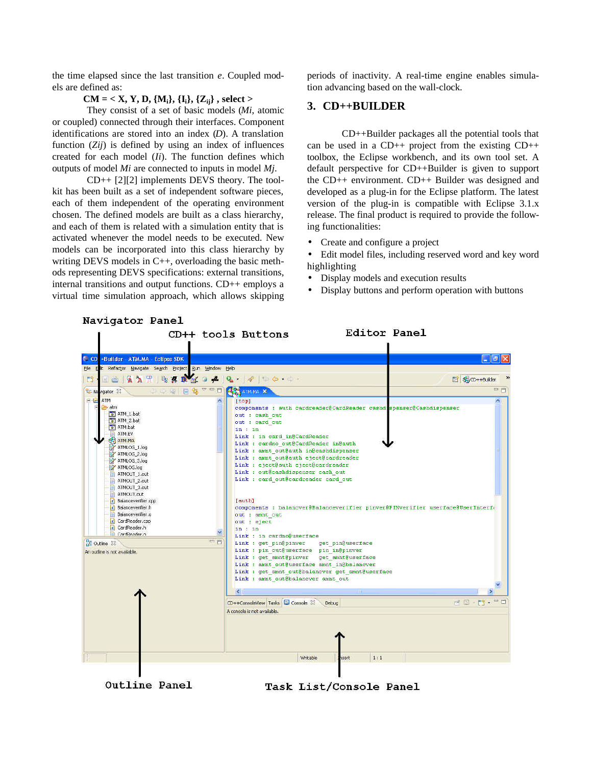the time elapsed since the last transition *e*. Coupled models are defined as:

# **CM = < X, Y, D, {Mi}, {Ii}, {Zij} , select >**

They consist of a set of basic models (*Mi*, atomic or coupled) connected through their interfaces. Component identifications are stored into an index (*D*). A translation function (*Zij*) is defined by using an index of influences created for each model (*Ii*). The function defines which outputs of model *Mi* are connected to inputs in model *Mj*.

CD++ [2][2] implements DEVS theory. The toolkit has been built as a set of independent software pieces, each of them independent of the operating environment chosen. The defined models are built as a class hierarchy, and each of them is related with a simulation entity that is activated whenever the model needs to be executed. New models can be incorporated into this class hierarchy by writing DEVS models in C++, overloading the basic methods representing DEVS specifications: external transitions, internal transitions and output functions. CD++ employs a virtual time simulation approach, which allows skipping periods of inactivity. A real-time engine enables simulation advancing based on the wall-clock.

# **3. CD++BUILDER**

CD++Builder packages all the potential tools that can be used in a CD++ project from the existing CD++ toolbox, the Eclipse workbench, and its own tool set. A default perspective for CD++Builder is given to support the CD++ environment. CD++ Builder was designed and developed as a plug-in for the Eclipse platform. The latest version of the plug-in is compatible with Eclipse 3.1.x release. The final product is required to provide the following functionalities:

- Create and configure a project
- Edit model files, including reserved word and key word highlighting
- Display models and execution results
- Display buttons and perform operation with buttons

| Navigator Panel                                                                                                                                                                                                                                                                                                                                               |                                                                                                                                                                                                                                                                                                                                                                                                                                                                                                                                                                              |                                                                 |
|---------------------------------------------------------------------------------------------------------------------------------------------------------------------------------------------------------------------------------------------------------------------------------------------------------------------------------------------------------------|------------------------------------------------------------------------------------------------------------------------------------------------------------------------------------------------------------------------------------------------------------------------------------------------------------------------------------------------------------------------------------------------------------------------------------------------------------------------------------------------------------------------------------------------------------------------------|-----------------------------------------------------------------|
|                                                                                                                                                                                                                                                                                                                                                               | Editor Panel<br>CD++ tools Buttons                                                                                                                                                                                                                                                                                                                                                                                                                                                                                                                                           |                                                                 |
|                                                                                                                                                                                                                                                                                                                                                               |                                                                                                                                                                                                                                                                                                                                                                                                                                                                                                                                                                              |                                                                 |
| CD +Builder - ATM.MA - Eclipse SDK                                                                                                                                                                                                                                                                                                                            |                                                                                                                                                                                                                                                                                                                                                                                                                                                                                                                                                                              | $\Box$ $\Box$ $\times$                                          |
| File Elit Refactor Navigate Search Project Run Window Help                                                                                                                                                                                                                                                                                                    |                                                                                                                                                                                                                                                                                                                                                                                                                                                                                                                                                                              |                                                                 |
| $\mathbf{A} \mathbf{A} \mathbf{A} = \mathbf{A} \mathbf{A} \mathbf{A} + \mathbf{A} \mathbf{A} + \mathbf{A}$<br>F9<br>田曲                                                                                                                                                                                                                                        |                                                                                                                                                                                                                                                                                                                                                                                                                                                                                                                                                                              | <sup>2</sup> 33CD++Builder                                      |
| 二二国 日第 一日<br><b>RS</b> Navigator 23                                                                                                                                                                                                                                                                                                                           | <b>ATM.MAX</b>                                                                                                                                                                                                                                                                                                                                                                                                                                                                                                                                                               | $=$ $F$                                                         |
| <b>BEATM</b><br>×<br>e atm<br>T ATM_1.bat<br>T ATM_2.bat<br>T ATM.bat<br>ATM.EV<br><b>SA ATM.MA</b><br>ATMLOG_1.log<br>ATMLOG 2.log<br>ATMLOG_3.log<br>ATMLOG.log<br>ATMOUT 1.out<br>ATMOUT_2.out<br>ATMOUT_3.out<br>ATMOUT.out<br>c Balanceverifier.cpp<br>.c Balanceverifier.h<br>Balanceverifier.o<br>.c CardReader.cpp<br>ic CardReader.h<br>CardReader.o | [top]<br>components : auth cardreader@CardReader cashd; spenser@Cashdispenser<br>out : cash out<br>out : card out<br>in : in<br>Link : in card in@CardReader<br>Link : cardno out@CardReader in@auth<br>Link : amnt out@auth in@cashdispenser<br>Link : amnt out@auth eject@cardreader<br>Link : eject@auth eject@cardreader<br>Link : out@cashdispenser cash out<br>Link : card out@cardreader card out<br>[auth]<br>components : balancver@Balanceverifier pinver@PINverifier userface@UserInterfa<br>out : amnt out<br>out : eject<br>in: in<br>Link : in cardno@userface | ٨                                                               |
| $=$ $\Box$<br><b>RE</b> Outline 23<br>An outline is not available.                                                                                                                                                                                                                                                                                            | Link : get pin@pinver<br>get pin@userface<br>Link : pin out@userface pin in@pinver<br>Link : get amnt@pinver<br>get amnt@userface<br>Link : amnt out@userface amnt in@balancver<br>Link : get amnt out@balancver get amnt@userface<br>Link : amnt out@balancver amnt out<br>$\left( \frac{1}{2} \right)$<br><b>TITLE</b><br>CD++ConsoleView Tasks Console X<br>Debug<br>A console is not available.                                                                                                                                                                          | $\mathbb{R} \otimes \mathbb{R}$ , $\mathbb{R} \cdot \mathbb{C}$ |
|                                                                                                                                                                                                                                                                                                                                                               | 1:1<br>Writable<br>isert                                                                                                                                                                                                                                                                                                                                                                                                                                                                                                                                                     |                                                                 |

Outline Panel

Task List/Console Panel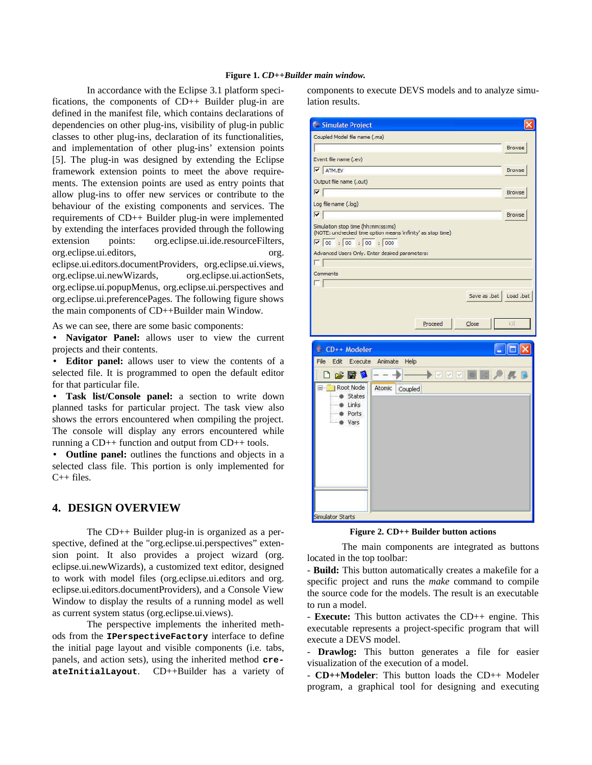#### **Figure 1.** *CD++Builder main window.*

In accordance with the Eclipse 3.1 platform specifications, the components of CD++ Builder plug-in are defined in the manifest file, which contains declarations of dependencies on other plug-ins, visibility of plug-in public classes to other plug-ins, declaration of its functionalities, and implementation of other plug-ins' extension points [5]. The plug-in was designed by extending the Eclipse framework extension points to meet the above requirements. The extension points are used as entry points that allow plug-ins to offer new services or contribute to the behaviour of the existing components and services. The requirements of CD++ Builder plug-in were implemented by extending the interfaces provided through the following extension points: org.eclipse.ui.ide.resourceFilters, org.eclipse.ui.editors, org. eclipse.ui.editors.documentProviders, org.eclipse.ui.views, org.eclipse.ui.newWizards, org.eclipse.ui.actionSets, org.eclipse.ui.popupMenus, org.eclipse.ui.perspectives and org.eclipse.ui.preferencePages. The following figure shows the main components of CD++Builder main Window.

As we can see, there are some basic components:

• **Navigator Panel:** allows user to view the current projects and their contents.

• **Editor panel:** allows user to view the contents of a selected file. It is programmed to open the default editor for that particular file.

• **Task list/Console panel:** a section to write down planned tasks for particular project. The task view also shows the errors encountered when compiling the project. The console will display any errors encountered while running a CD++ function and output from CD++ tools.

• **Outline panel:** outlines the functions and objects in a selected class file. This portion is only implemented for C++ files.

### **4. DESIGN OVERVIEW**

The CD++ Builder plug-in is organized as a perspective, defined at the "org.eclipse.ui.perspectives" extension point. It also provides a project wizard (org. eclipse.ui.newWizards), a customized text editor, designed to work with model files (org.eclipse.ui.editors and org. eclipse.ui.editors.documentProviders), and a Console View Window to display the results of a running model as well as current system status (org.eclipse.ui.views).

The perspective implements the inherited methods from the **IPerspectiveFactory** interface to define the initial page layout and visible components (i.e. tabs, panels, and action sets), using the inherited method **createInitialLayout**. CD++Builder has a variety of

components to execute DEVS models and to analyze simulation results.

| Simulate Project                                                                                                                  | ×                                                    |
|-----------------------------------------------------------------------------------------------------------------------------------|------------------------------------------------------|
| Coupled Model file name (.ma)                                                                                                     |                                                      |
|                                                                                                                                   | <b>Browse</b>                                        |
| Event file name (.ev)                                                                                                             |                                                      |
| V ATM.EV                                                                                                                          | <b>Browse</b>                                        |
| Output file name (.out)                                                                                                           |                                                      |
| $\overline{V}$                                                                                                                    | <b>Browse</b>                                        |
| Log file name (.log)                                                                                                              |                                                      |
| $ \nabla $                                                                                                                        | <b>Browse</b>                                        |
| Simulation stop time (hh:mm:ss:ms)<br>(NOTE: unchecked time option means 'infinity' as stop time)<br>$\sqrt{100}$ : 00 : 00 : 000 |                                                      |
| Advanced Users Only. Enter desired parameters:                                                                                    |                                                      |
| г                                                                                                                                 |                                                      |
| Comments                                                                                                                          |                                                      |
|                                                                                                                                   | Save as .bat<br>Load, bat<br>Proceed<br>Close<br>kΙΙ |
| CD++ Modeler<br>File Edit<br>Execute<br>Animate                                                                                   | Help                                                 |
| 口房围身<br>Root Node<br>84<br>Atomic                                                                                                 | $\sim$ $\sim$<br>li uf<br>Coupled                    |
| States<br>Links<br><b>Ports</b><br>Vars                                                                                           |                                                      |
| Simulator Starts                                                                                                                  |                                                      |

**Figure 2. CD++ Builder button actions**

The main components are integrated as buttons located in the top toolbar:

- **Build:** This button automatically creates a makefile for a specific project and runs the *make* command to compile the source code for the models. The result is an executable to run a model.

- **Execute:** This button activates the CD++ engine. This executable represents a project-specific program that will execute a DEVS model.

- **Drawlog:** This button generates a file for easier visualization of the execution of a model.

- **CD++Modeler**: This button loads the CD++ Modeler program, a graphical tool for designing and executing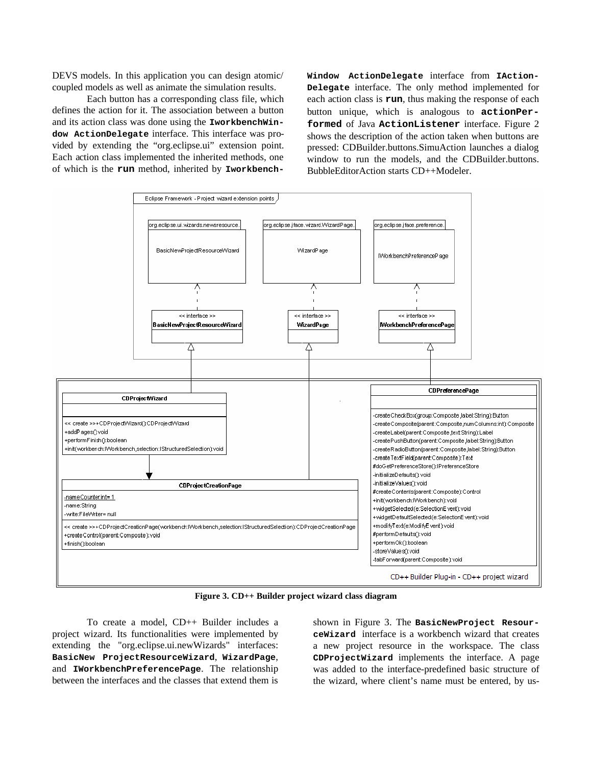DEVS models. In this application you can design atomic/ coupled models as well as animate the simulation results.

Each button has a corresponding class file, which defines the action for it. The association between a button and its action class was done using the **IworkbenchWindow ActionDelegate** interface. This interface was provided by extending the "org.eclipse.ui" extension point. Each action class implemented the inherited methods, one of which is the **run** method, inherited by **Iworkbench-** **Window ActionDelegate** interface from **IAction-Delegate** interface. The only method implemented for each action class is **run**, thus making the response of each button unique, which is analogous to **actionPerformed** of Java **ActionListener** interface. Figure 2 shows the description of the action taken when buttons are pressed: CDBuilder.buttons.SimuAction launches a dialog window to run the models, and the CDBuilder.buttons. BubbleEditorAction starts CD++Modeler.



**Figure 3. CD++ Builder project wizard class diagram**

To create a model, CD++ Builder includes a project wizard. Its functionalities were implemented by extending the "org.eclipse.ui.newWizards" interfaces: **BasicNew ProjectResourceWizard**, **WizardPage**, and **IWorkbenchPreferencePage**. The relationship between the interfaces and the classes that extend them is

shown in Figure 3. The **BasicNewProject ResourceWizard** interface is a workbench wizard that creates a new project resource in the workspace. The class **CDProjectWizard** implements the interface. A page was added to the interface-predefined basic structure of the wizard, where client's name must be entered, by us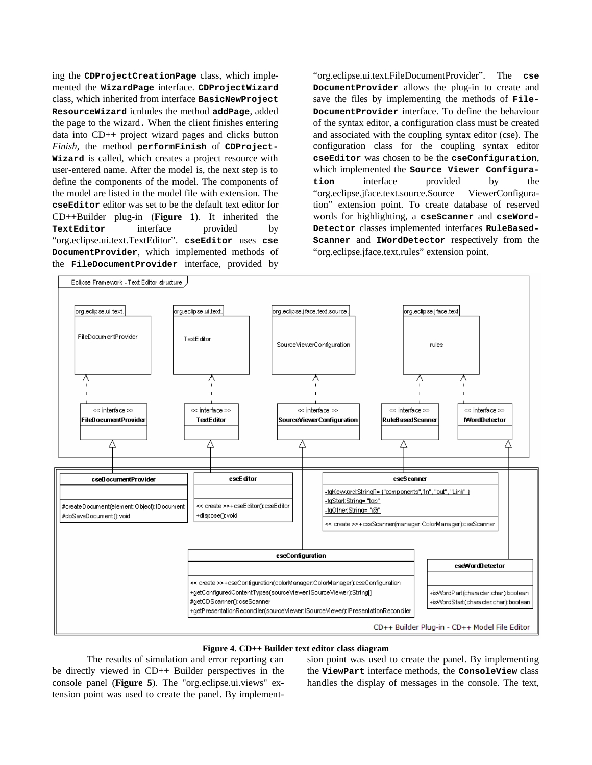ing the **CDProjectCreationPage** class, which implemented the **WizardPage** interface. **CDProjectWizard** class, which inherited from interface **BasicNewProject ResourceWizard** icnludes the method **addPage**, added the page to the wizard**.** When the client finishes entering data into CD++ project wizard pages and clicks button *Finish*, the method **performFinish** of **CDProject-Wizard** is called, which creates a project resource with user-entered name. After the model is, the next step is to define the components of the model. The components of the model are listed in the model file with extension. The **cseEditor** editor was set to be the default text editor for CD++Builder plug-in (**Figure 1**). It inherited the **TextEditor** interface provided by "org.eclipse.ui.text.TextEditor". **cseEditor** uses **cse DocumentProvider**, which implemented methods of the **FileDocumentProvider** interface, provided by "org.eclipse.ui.text.FileDocumentProvider". The **cse DocumentProvider** allows the plug-in to create and save the files by implementing the methods of **File-DocumentProvider** interface. To define the behaviour of the syntax editor, a configuration class must be created and associated with the coupling syntax editor (cse). The configuration class for the coupling syntax editor **cseEditor** was chosen to be the **cseConfiguration**, which implemented the **Source Viewer Configuration** interface provided by the "org.eclipse.jface.text.source.Source ViewerConfiguration" extension point. To create database of reserved words for highlighting, a **cseScanner** and **cseWord-Detector** classes implemented interfaces **RuleBased-Scanner** and **IWordDetector** respectively from the "org.eclipse.jface.text.rules" extension point.



#### **Figure 4. CD++ Builder text editor class diagram**

The results of simulation and error reporting can be directly viewed in CD++ Builder perspectives in the console panel (**Figure 5**). The "org.eclipse.ui.views" extension point was used to create the panel. By implementsion point was used to create the panel. By implementing the **ViewPart** interface methods, the **ConsoleView** class handles the display of messages in the console. The text,